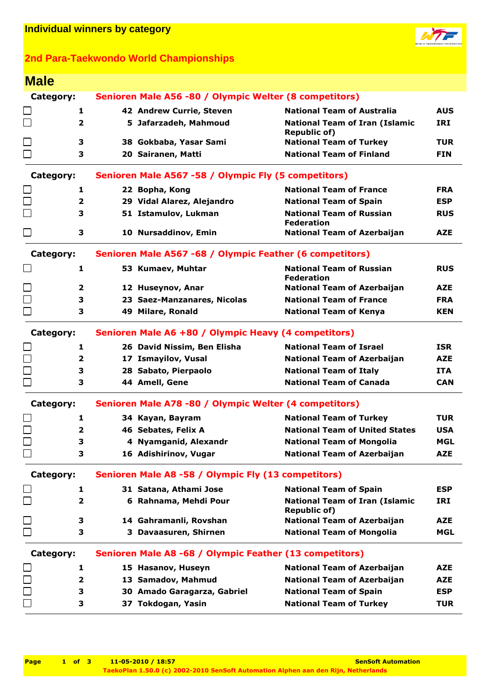

## **2nd Para-Taekwondo World Championships**

| <b>Male</b>                                       |                         |                                                          |                                                              |            |  |
|---------------------------------------------------|-------------------------|----------------------------------------------------------|--------------------------------------------------------------|------------|--|
| Category:                                         |                         | Senioren Male A56 -80 / Olympic Welter (8 competitors)   |                                                              |            |  |
|                                                   | 1                       | 42 Andrew Currie, Steven                                 | <b>National Team of Australia</b>                            | <b>AUS</b> |  |
| □                                                 | $\overline{2}$          | 5 Jafarzadeh, Mahmoud                                    | <b>National Team of Iran (Islamic</b><br><b>Republic of)</b> | <b>IRI</b> |  |
| $\Box$                                            | 3                       | 38 Gokbaba, Yasar Sami                                   | <b>National Team of Turkey</b>                               | <b>TUR</b> |  |
| $\Box$                                            | 3                       | 20 Sairanen, Matti                                       | <b>National Team of Finland</b>                              | <b>FIN</b> |  |
| Category:                                         |                         | Senioren Male A567 -58 / Olympic Fly (5 competitors)     |                                                              |            |  |
|                                                   | 1                       | 22 Bopha, Kong                                           | <b>National Team of France</b>                               | <b>FRA</b> |  |
| $\Box$                                            | 2                       | 29 Vidal Alarez, Alejandro                               | <b>National Team of Spain</b>                                | <b>ESP</b> |  |
| $\Box$                                            | 3                       | 51 Istamulov, Lukman                                     | <b>National Team of Russian</b><br><b>Federation</b>         | <b>RUS</b> |  |
| □                                                 | 3                       | 10 Nursaddinov, Emin                                     | <b>National Team of Azerbaijan</b>                           | <b>AZE</b> |  |
| Category:                                         |                         | Senioren Male A567 -68 / Olympic Feather (6 competitors) |                                                              |            |  |
|                                                   | 1                       | 53 Kumaev, Muhtar                                        | <b>National Team of Russian</b><br><b>Federation</b>         | <b>RUS</b> |  |
| $\Box$                                            | $\overline{2}$          | 12 Huseynov, Anar                                        | <b>National Team of Azerbaijan</b>                           | <b>AZE</b> |  |
| $\Box$                                            | 3                       | 23 Saez-Manzanares, Nicolas                              | <b>National Team of France</b>                               | <b>FRA</b> |  |
| $\Box$                                            | 3                       | 49 Milare, Ronald                                        | <b>National Team of Kenya</b>                                | <b>KEN</b> |  |
| Category:                                         |                         | Senioren Male A6 +80 / Olympic Heavy (4 competitors)     |                                                              |            |  |
|                                                   | 1                       | 26 David Nissim, Ben Elisha                              | <b>National Team of Israel</b>                               | <b>ISR</b> |  |
| $\Box$                                            | 2                       | 17 Ismayilov, Vusal                                      | <b>National Team of Azerbaijan</b>                           | <b>AZE</b> |  |
|                                                   | З                       | 28 Sabato, Pierpaolo                                     | <b>National Team of Italy</b>                                | <b>ITA</b> |  |
| $\Box$                                            | 3                       | 44 Amell, Gene                                           | <b>National Team of Canada</b>                               | <b>CAN</b> |  |
| Category:                                         |                         | Senioren Male A78 -80 / Olympic Welter (4 competitors)   |                                                              |            |  |
|                                                   | 1                       | 34 Kayan, Bayram                                         | <b>National Team of Turkey</b>                               | <b>TUR</b> |  |
| $\Box$                                            | $\overline{\mathbf{2}}$ | 46 Sebates, Felix A                                      | <b>National Team of United States</b>                        | <b>USA</b> |  |
|                                                   | 3                       | 4 Nyamganid, Alexandr                                    | <b>National Team of Mongolia</b>                             | <b>MGL</b> |  |
|                                                   | 3                       | 16 Adishirinov, Vugar                                    | <b>National Team of Azerbaijan</b>                           | <b>AZE</b> |  |
| Category:                                         |                         | Senioren Male A8 -58 / Olympic Fly (13 competitors)      |                                                              |            |  |
|                                                   | 1                       | 31 Satana, Athami Jose                                   | <b>National Team of Spain</b>                                | <b>ESP</b> |  |
| $\Box$                                            | $\overline{\mathbf{2}}$ | 6 Rahnama, Mehdi Pour                                    | <b>National Team of Iran (Islamic</b><br><b>Republic of)</b> | IRI        |  |
| □                                                 | 3                       | 14 Gahramanli, Rovshan                                   | <b>National Team of Azerbaijan</b>                           | <b>AZE</b> |  |
| $\Box$                                            | 3                       | 3 Davaasuren, Shirnen                                    | <b>National Team of Mongolia</b>                             | <b>MGL</b> |  |
| Category:                                         |                         | Senioren Male A8 -68 / Olympic Feather (13 competitors)  |                                                              |            |  |
|                                                   | 1                       | 15 Hasanov, Huseyn                                       | <b>National Team of Azerbaijan</b>                           | <b>AZE</b> |  |
| $\begin{array}{c} \square \\ \square \end{array}$ | 2                       | 13 Samadov, Mahmud                                       | <b>National Team of Azerbaijan</b>                           | <b>AZE</b> |  |
|                                                   | 3                       | 30 Amado Garagarza, Gabriel                              | <b>National Team of Spain</b>                                | <b>ESP</b> |  |
|                                                   | 3                       | 37 Tokdogan, Yasin                                       | <b>National Team of Turkey</b>                               | <b>TUR</b> |  |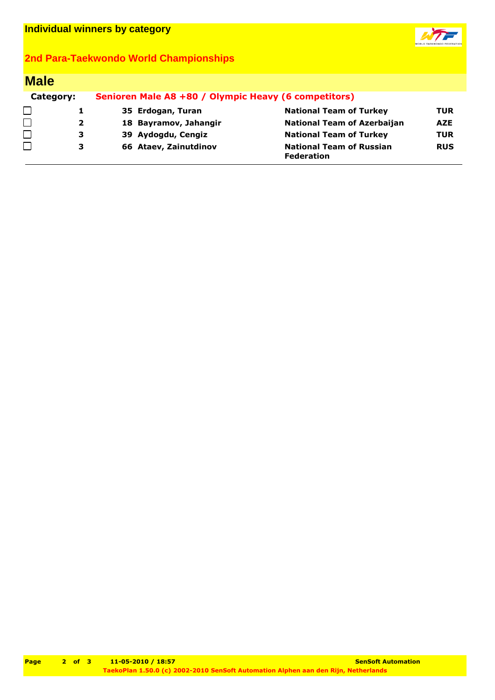

## **2nd Para-Taekwondo World Championships**

| <b>Male</b> |              |                                                      |                                                      |            |  |  |
|-------------|--------------|------------------------------------------------------|------------------------------------------------------|------------|--|--|
| Category:   |              | Senioren Male A8 +80 / Olympic Heavy (6 competitors) |                                                      |            |  |  |
| □           |              | 35 Erdogan, Turan                                    | <b>National Team of Turkey</b>                       | <b>TUR</b> |  |  |
| $\Box$      | $\mathbf{2}$ | 18 Bayramov, Jahangir                                | <b>National Team of Azerbaijan</b>                   | <b>AZE</b> |  |  |
| $\Box$      | з            | 39 Aydogdu, Cengiz                                   | <b>National Team of Turkey</b>                       | <b>TUR</b> |  |  |
|             | 3            | 66 Ataev, Zainutdinov                                | <b>National Team of Russian</b><br><b>Federation</b> | <b>RUS</b> |  |  |